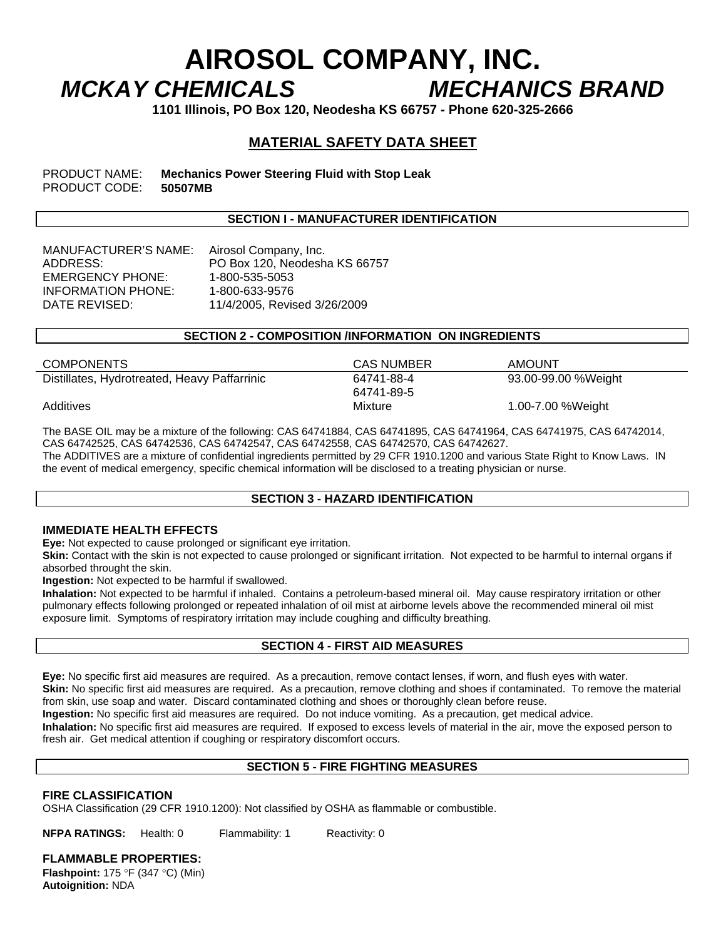# **AIROSOL COMPANY, INC.**  *MCKAY CHEMICALS MECHANICS BRAND*

**1101 Illinois, PO Box 120, Neodesha KS 66757 - Phone 620-325-2666** 

# **MATERIAL SAFETY DATA SHEET**

PRODUCT NAME: **Mechanics Power Steering Fluid with Stop Leak**  PRODUCT CODE: **50507MB** 

## **SECTION I - MANUFACTURER IDENTIFICATION**

MANUFACTURER'S NAME: Airosol Company, Inc. EMERGENCY PHONE: 1-800-535-5053 INFORMATION PHONE: 1-800-633-9576

ADDRESS: PO Box 120, Neodesha KS 66757 DATE REVISED: 11/4/2005, Revised 3/26/2009

## **SECTION 2 - COMPOSITION /INFORMATION ON INGREDIENTS**

| <b>COMPONENTS</b>                            | <b>CAS NUMBER</b> | <b>AMOUNT</b>       |
|----------------------------------------------|-------------------|---------------------|
| Distillates, Hydrotreated, Heavy Paffarrinic | 64741-88-4        | 93.00-99.00 %Weight |
|                                              | 64741-89-5        |                     |
| Additives                                    | Mixture           | 1.00-7.00 %Weight   |

The BASE OIL may be a mixture of the following: CAS 64741884, CAS 64741895, CAS 64741964, CAS 64741975, CAS 64742014, CAS 64742525, CAS 64742536, CAS 64742547, CAS 64742558, CAS 64742570, CAS 64742627.

The ADDITIVES are a mixture of confidential ingredients permitted by 29 CFR 1910.1200 and various State Right to Know Laws. IN the event of medical emergency, specific chemical information will be disclosed to a treating physician or nurse.

#### **SECTION 3 - HAZARD IDENTIFICATION**

## **IMMEDIATE HEALTH EFFECTS**

**Eye:** Not expected to cause prolonged or significant eye irritation.

**Skin:** Contact with the skin is not expected to cause prolonged or significant irritation. Not expected to be harmful to internal organs if absorbed throught the skin.

**Ingestion:** Not expected to be harmful if swallowed.

**Inhalation:** Not expected to be harmful if inhaled. Contains a petroleum-based mineral oil. May cause respiratory irritation or other pulmonary effects following prolonged or repeated inhalation of oil mist at airborne levels above the recommended mineral oil mist exposure limit. Symptoms of respiratory irritation may include coughing and difficulty breathing.

# **SECTION 4 - FIRST AID MEASURES**

**Eye:** No specific first aid measures are required. As a precaution, remove contact lenses, if worn, and flush eyes with water. **Skin:** No specific first aid measures are required. As a precaution, remove clothing and shoes if contaminated. To remove the material from skin, use soap and water. Discard contaminated clothing and shoes or thoroughly clean before reuse. **Ingestion:** No specific first aid measures are required. Do not induce vomiting. As a precaution, get medical advice. **Inhalation:** No specific first aid measures are required. If exposed to excess levels of material in the air, move the exposed person to

fresh air. Get medical attention if coughing or respiratory discomfort occurs.

# **SECTION 5 - FIRE FIGHTING MEASURES**

## **FIRE CLASSIFICATION**

OSHA Classification (29 CFR 1910.1200): Not classified by OSHA as flammable or combustible.

**NFPA RATINGS:** Health: 0 Flammability: 1 Reactivity: 0

**FLAMMABLE PROPERTIES:** 

**Flashpoint:** 175 °F (347 °C) (Min) **Autoignition:** NDA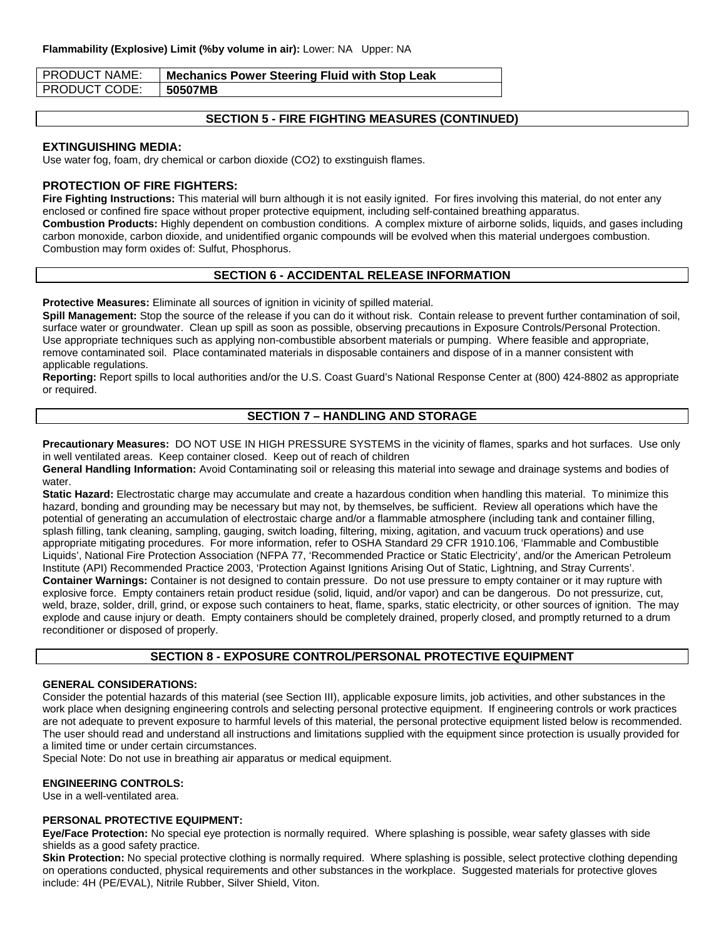| I PRODUCT NAME: | <b>Mechanics Power Steering Fluid with Stop Leak</b> |
|-----------------|------------------------------------------------------|
| I PRODUCT CODE: | 50507MB                                              |

# **SECTION 5 - FIRE FIGHTING MEASURES (CONTINUED)**

#### **EXTINGUISHING MEDIA:**

Use water fog, foam, dry chemical or carbon dioxide (CO2) to exstinguish flames.

### **PROTECTION OF FIRE FIGHTERS:**

**Fire Fighting Instructions:** This material will burn although it is not easily ignited. For fires involving this material, do not enter any enclosed or confined fire space without proper protective equipment, including self-contained breathing apparatus. **Combustion Products:** Highly dependent on combustion conditions. A complex mixture of airborne solids, liquids, and gases including carbon monoxide, carbon dioxide, and unidentified organic compounds will be evolved when this material undergoes combustion. Combustion may form oxides of: Sulfut, Phosphorus.

## **SECTION 6 - ACCIDENTAL RELEASE INFORMATION**

**Protective Measures:** Eliminate all sources of ignition in vicinity of spilled material.

**Spill Management:** Stop the source of the release if you can do it without risk. Contain release to prevent further contamination of soil, surface water or groundwater. Clean up spill as soon as possible, observing precautions in Exposure Controls/Personal Protection. Use appropriate techniques such as applying non-combustible absorbent materials or pumping. Where feasible and appropriate, remove contaminated soil. Place contaminated materials in disposable containers and dispose of in a manner consistent with applicable regulations.

**Reporting:** Report spills to local authorities and/or the U.S. Coast Guard's National Response Center at (800) 424-8802 as appropriate or required.

## **SECTION 7 – HANDLING AND STORAGE**

**Precautionary Measures:** DO NOT USE IN HIGH PRESSURE SYSTEMS in the vicinity of flames, sparks and hot surfaces. Use only in well ventilated areas. Keep container closed. Keep out of reach of children

**General Handling Information:** Avoid Contaminating soil or releasing this material into sewage and drainage systems and bodies of water.

**Static Hazard:** Electrostatic charge may accumulate and create a hazardous condition when handling this material. To minimize this hazard, bonding and grounding may be necessary but may not, by themselves, be sufficient. Review all operations which have the potential of generating an accumulation of electrostaic charge and/or a flammable atmosphere (including tank and container filling, splash filling, tank cleaning, sampling, gauging, switch loading, filtering, mixing, agitation, and vacuum truck operations) and use appropriate mitigating procedures. For more information, refer to OSHA Standard 29 CFR 1910.106, 'Flammable and Combustible Liquids', National Fire Protection Association (NFPA 77, 'Recommended Practice or Static Electricity', and/or the American Petroleum Institute (API) Recommended Practice 2003, 'Protection Against Ignitions Arising Out of Static, Lightning, and Stray Currents'. **Container Warnings:** Container is not designed to contain pressure. Do not use pressure to empty container or it may rupture with explosive force. Empty containers retain product residue (solid, liquid, and/or vapor) and can be dangerous. Do not pressurize, cut, weld, braze, solder, drill, grind, or expose such containers to heat, flame, sparks, static electricity, or other sources of ignition. The may explode and cause injury or death. Empty containers should be completely drained, properly closed, and promptly returned to a drum reconditioner or disposed of properly.

## **SECTION 8 - EXPOSURE CONTROL/PERSONAL PROTECTIVE EQUIPMENT**

#### **GENERAL CONSIDERATIONS:**

Consider the potential hazards of this material (see Section III), applicable exposure limits, job activities, and other substances in the work place when designing engineering controls and selecting personal protective equipment. If engineering controls or work practices are not adequate to prevent exposure to harmful levels of this material, the personal protective equipment listed below is recommended. The user should read and understand all instructions and limitations supplied with the equipment since protection is usually provided for a limited time or under certain circumstances.

Special Note: Do not use in breathing air apparatus or medical equipment.

#### **ENGINEERING CONTROLS:**

Use in a well-ventilated area.

#### **PERSONAL PROTECTIVE EQUIPMENT:**

**Eye/Face Protection:** No special eye protection is normally required. Where splashing is possible, wear safety glasses with side shields as a good safety practice.

Skin Protection: No special protective clothing is normally required. Where splashing is possible, select protective clothing depending on operations conducted, physical requirements and other substances in the workplace. Suggested materials for protective gloves include: 4H (PE/EVAL), Nitrile Rubber, Silver Shield, Viton.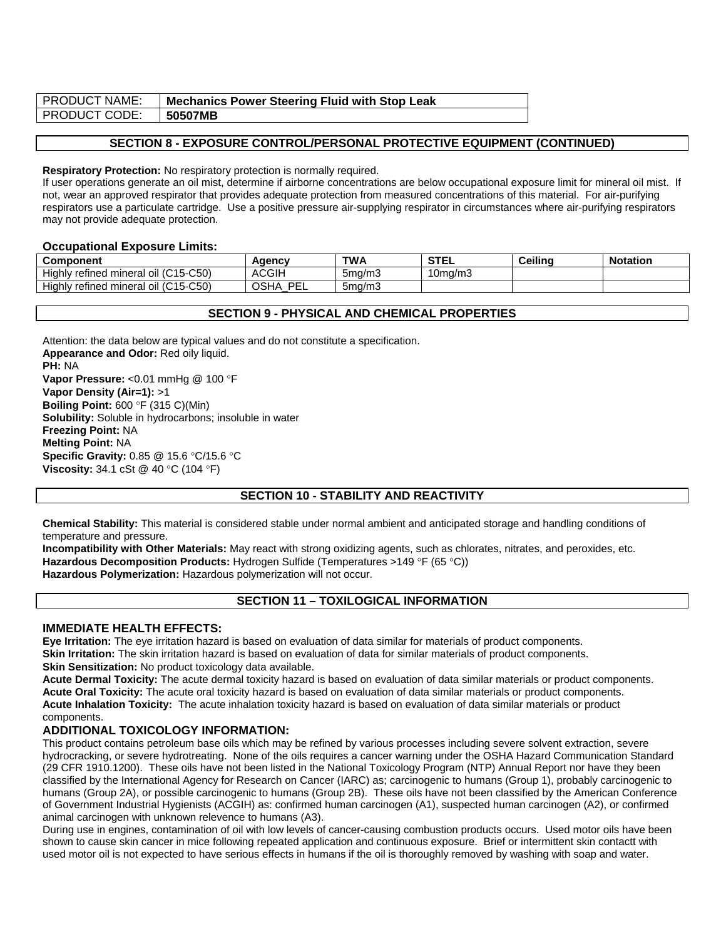| <b>PRODUCT NAME:</b> | <b>Mechanics Power Steering Fluid with Stop Leak</b> |
|----------------------|------------------------------------------------------|
| <b>PRODUCT CODE:</b> | 50507MB                                              |

# **SECTION 8 - EXPOSURE CONTROL/PERSONAL PROTECTIVE EQUIPMENT (CONTINUED)**

#### **Respiratory Protection:** No respiratory protection is normally required.

If user operations generate an oil mist, determine if airborne concentrations are below occupational exposure limit for mineral oil mist. If not, wear an approved respirator that provides adequate protection from measured concentrations of this material. For air-purifying respirators use a particulate cartridge. Use a positive pressure air-supplying respirator in circumstances where air-purifying respirators may not provide adequate protection.

#### **Occupational Exposure Limits:**

| Component                            | Agency                   | <b>TWA</b> | <b>STEL</b> | <b>Ceiling</b> | <b>Notation</b> |
|--------------------------------------|--------------------------|------------|-------------|----------------|-----------------|
| Highly refined mineral oil (C15-C50) | <b>ACGIH</b>             | 5ma/m3     | l0ma/m3     |                |                 |
| Highly refined mineral oil (C15-C50) | DEI<br><b>OSHA</b><br>ᄂᄂ | 5ma/m3     |             |                |                 |

## **SECTION 9 - PHYSICAL AND CHEMICAL PROPERTIES**

Attention: the data below are typical values and do not constitute a specification. **Appearance and Odor:** Red oily liquid. **PH:** NA Vapor Pressure: < 0.01 mmHg @ 100 °F **Vapor Density (Air=1):** >1 **Boiling Point:** 600 °F (315 C)(Min) **Solubility:** Soluble in hydrocarbons; insoluble in water **Freezing Point:** NA **Melting Point:** NA **Specific Gravity:** 0.85 @ 15.6 °C/15.6 °C **Viscosity:** 34.1 cSt @ 40 °C (104 °F)

# **SECTION 10 - STABILITY AND REACTIVITY**

**Chemical Stability:** This material is considered stable under normal ambient and anticipated storage and handling conditions of temperature and pressure.

**Incompatibility with Other Materials:** May react with strong oxidizing agents, such as chlorates, nitrates, and peroxides, etc. **Hazardous Decomposition Products:** Hydrogen Sulfide (Temperatures >149 °F (65 °C)) **Hazardous Polymerization:** Hazardous polymerization will not occur.

## **SECTION 11 – TOXILOGICAL INFORMATION**

#### **IMMEDIATE HEALTH EFFECTS:**

**Eye Irritation:** The eye irritation hazard is based on evaluation of data similar for materials of product components. **Skin Irritation:** The skin irritation hazard is based on evaluation of data for similar materials of product components. **Skin Sensitization:** No product toxicology data available.

**Acute Dermal Toxicity:** The acute dermal toxicity hazard is based on evaluation of data similar materials or product components. **Acute Oral Toxicity:** The acute oral toxicity hazard is based on evaluation of data similar materials or product components. **Acute Inhalation Toxicity:** The acute inhalation toxicity hazard is based on evaluation of data similar materials or product components.

## **ADDITIONAL TOXICOLOGY INFORMATION:**

This product contains petroleum base oils which may be refined by various processes including severe solvent extraction, severe hydrocracking, or severe hydrotreating. None of the oils requires a cancer warning under the OSHA Hazard Communication Standard (29 CFR 1910.1200). These oils have not been listed in the National Toxicology Program (NTP) Annual Report nor have they been classified by the International Agency for Research on Cancer (IARC) as; carcinogenic to humans (Group 1), probably carcinogenic to humans (Group 2A), or possible carcinogenic to humans (Group 2B). These oils have not been classified by the American Conference of Government Industrial Hygienists (ACGIH) as: confirmed human carcinogen (A1), suspected human carcinogen (A2), or confirmed animal carcinogen with unknown relevence to humans (A3).

During use in engines, contamination of oil with low levels of cancer-causing combustion products occurs. Used motor oils have been shown to cause skin cancer in mice following repeated application and continuous exposure. Brief or intermittent skin contactt with used motor oil is not expected to have serious effects in humans if the oil is thoroughly removed by washing with soap and water.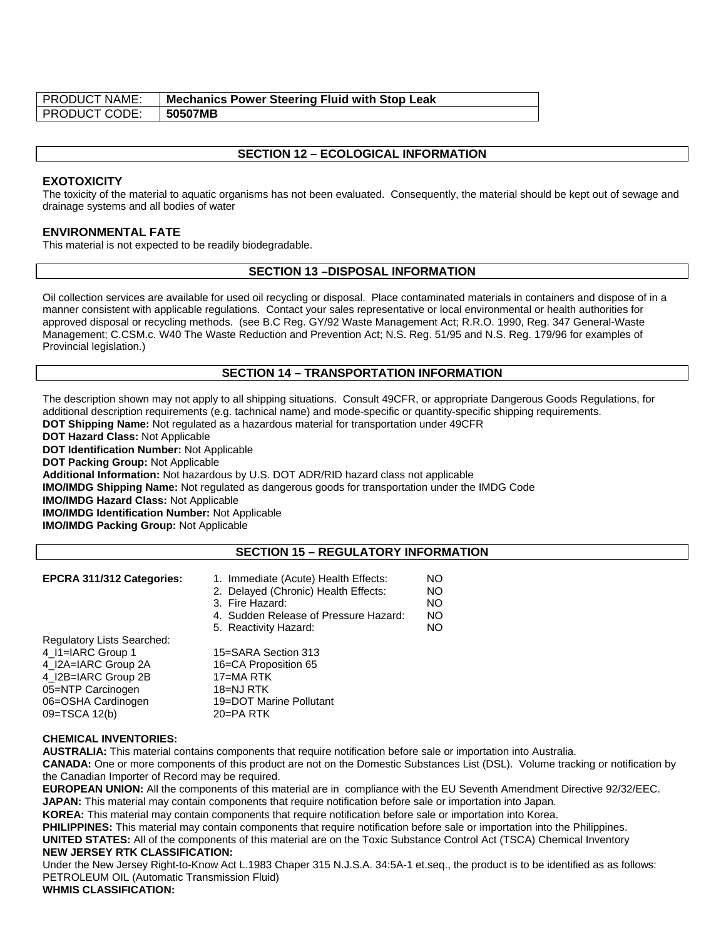| <b>PRODUCT NAME:</b> | <b>Mechanics Power Steering Fluid with Stop Leak</b> |
|----------------------|------------------------------------------------------|
| <b>PRODUCT CODE:</b> | 50507MB                                              |

### **SECTION 12 – ECOLOGICAL INFORMATION**

#### **EXOTOXICITY**

The toxicity of the material to aquatic organisms has not been evaluated. Consequently, the material should be kept out of sewage and drainage systems and all bodies of water

#### **ENVIRONMENTAL FATE**

This material is not expected to be readily biodegradable.

#### **SECTION 13 –DISPOSAL INFORMATION**

Oil collection services are available for used oil recycling or disposal. Place contaminated materials in containers and dispose of in a manner consistent with applicable regulations. Contact your sales representative or local environmental or health authorities for approved disposal or recycling methods. (see B.C Reg. GY/92 Waste Management Act; R.R.O. 1990, Reg. 347 General-Waste Management; C.CSM.c. W40 The Waste Reduction and Prevention Act; N.S. Reg. 51/95 and N.S. Reg. 179/96 for examples of Provincial legislation.)

#### **SECTION 14 – TRANSPORTATION INFORMATION**

The description shown may not apply to all shipping situations. Consult 49CFR, or appropriate Dangerous Goods Regulations, for additional description requirements (e.g. tachnical name) and mode-specific or quantity-specific shipping requirements. **DOT Shipping Name:** Not regulated as a hazardous material for transportation under 49CFR

**DOT Hazard Class:** Not Applicable

**DOT Identification Number:** Not Applicable

**DOT Packing Group:** Not Applicable

**Additional Information:** Not hazardous by U.S. DOT ADR/RID hazard class not applicable

**IMO/IMDG Shipping Name:** Not regulated as dangerous goods for transportation under the IMDG Code

**IMO/IMDG Hazard Class:** Not Applicable

**IMO/IMDG Identification Number:** Not Applicable

**IMO/IMDG Packing Group:** Not Applicable

## **SECTION 15 – REGULATORY INFORMATION**

#### **EPCRA 311/312 Categories:** 1. Immediate (Acute) Health Effects: NO 2. Delayed (Chronic) Health Effects: NO 3. Fire Hazard: NO 4. Sudden Release of Pressure Hazard: NO

| 5. Reactivity Hazard:   | NO. |
|-------------------------|-----|
|                         |     |
| 15=SARA Section 313     |     |
| 16=CA Proposition 65    |     |
| 17=MA RTK               |     |
| 18=NJ RTK               |     |
| 19=DOT Marine Pollutant |     |
| 20=PA RTK               |     |
|                         |     |

#### **CHEMICAL INVENTORIES:**

**AUSTRALIA:** This material contains components that require notification before sale or importation into Australia.

**CANADA:** One or more components of this product are not on the Domestic Substances List (DSL). Volume tracking or notification by the Canadian Importer of Record may be required.

**EUROPEAN UNION:** All the components of this material are in compliance with the EU Seventh Amendment Directive 92/32/EEC. **JAPAN:** This material may contain components that require notification before sale or importation into Japan.

**KOREA:** This material may contain components that require notification before sale or importation into Korea.

**PHILIPPINES:** This material may contain components that require notification before sale or importation into the Philippines.

**UNITED STATES:** All of the components of this material are on the Toxic Substance Control Act (TSCA) Chemical Inventory

## **NEW JERSEY RTK CLASSIFICATION:**

Under the New Jersey Right-to-Know Act L.1983 Chaper 315 N.J.S.A. 34:5A-1 et.seq., the product is to be identified as as follows: PETROLEUM OIL (Automatic Transmission Fluid)

**WHMIS CLASSIFICATION:**